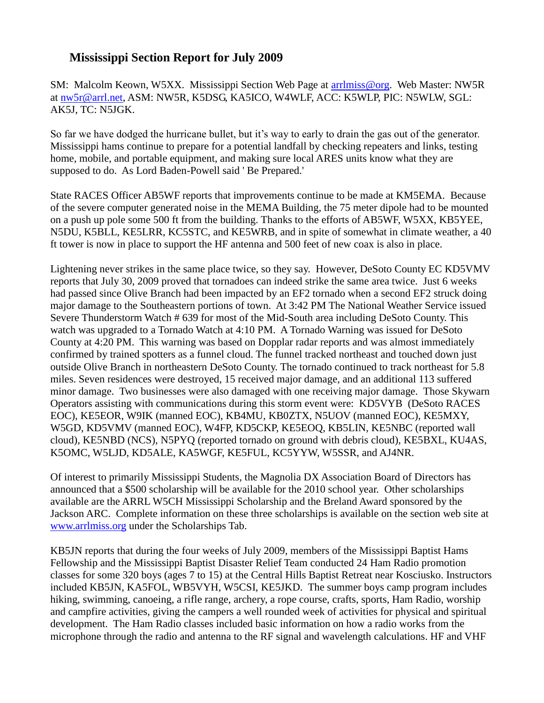## **Mississippi Section Report for July 2009**

SM: Malcolm Keown, W5XX. Mississippi Section Web Page at [arrlmiss@org.](mailto:arrlmiss@org) Web Master: NW5R at [nw5r@arrl.net,](mailto:nw5r@arrl.net) ASM: NW5R, K5DSG, KA5ICO, W4WLF, ACC: K5WLP, PIC: N5WLW, SGL: AK5J, TC: N5JGK.

So far we have dodged the hurricane bullet, but it's way to early to drain the gas out of the generator. Mississippi hams continue to prepare for a potential landfall by checking repeaters and links, testing home, mobile, and portable equipment, and making sure local ARES units know what they are supposed to do. As Lord Baden-Powell said ' Be Prepared.'

State RACES Officer AB5WF reports that improvements continue to be made at KM5EMA. Because of the severe computer generated noise in the MEMA Building, the 75 meter dipole had to be mounted on a push up pole some 500 ft from the building. Thanks to the efforts of AB5WF, W5XX, KB5YEE, N5DU, K5BLL, KE5LRR, KC5STC, and KE5WRB, and in spite of somewhat in climate weather, a 40 ft tower is now in place to support the HF antenna and 500 feet of new coax is also in place.

Lightening never strikes in the same place twice, so they say. However, DeSoto County EC KD5VMV reports that July 30, 2009 proved that tornadoes can indeed strike the same area twice. Just 6 weeks had passed since Olive Branch had been impacted by an EF2 tornado when a second EF2 struck doing major damage to the Southeastern portions of town. At 3:42 PM The National Weather Service issued Severe Thunderstorm Watch # 639 for most of the Mid-South area including DeSoto County. This watch was upgraded to a Tornado Watch at 4:10 PM. A Tornado Warning was issued for DeSoto County at 4:20 PM. This warning was based on Dopplar radar reports and was almost immediately confirmed by trained spotters as a funnel cloud. The funnel tracked northeast and touched down just outside Olive Branch in northeastern DeSoto County. The tornado continued to track northeast for 5.8 miles. Seven residences were destroyed, 15 received major damage, and an additional 113 suffered minor damage. Two businesses were also damaged with one receiving major damage. Those Skywarn Operators assisting with communications during this storm event were: KD5VYB (DeSoto RACES EOC), KE5EOR, W9IK (manned EOC), KB4MU, KB0ZTX, N5UOV (manned EOC), KE5MXY, W5GD, KD5VMV (manned EOC), W4FP, KD5CKP, KE5EOQ, KB5LIN, KE5NBC (reported wall cloud), KE5NBD (NCS), N5PYQ (reported tornado on ground with debris cloud), KE5BXL, KU4AS, K5OMC, W5LJD, KD5ALE, KA5WGF, KE5FUL, KC5YYW, W5SSR, and AJ4NR.

Of interest to primarily Mississippi Students, the Magnolia DX Association Board of Directors has announced that a \$500 scholarship will be available for the 2010 school year. Other scholarships available are the ARRL W5CH Mississippi Scholarship and the Breland Award sponsored by the Jackson ARC. Complete information on these three scholarships is available on the section web site at [www.arrlmiss.org](http://www.arrlmiss.org/) under the Scholarships Tab.

KB5JN reports that during the four weeks of July 2009, members of the Mississippi Baptist Hams Fellowship and the Mississippi Baptist Disaster Relief Team conducted 24 Ham Radio promotion classes for some 320 boys (ages 7 to 15) at the Central Hills Baptist Retreat near Kosciusko. Instructors included KB5JN, KA5FOL, WB5VYH, W5CSI, KE5JKD. The summer boys camp program includes hiking, swimming, canoeing, a rifle range, archery, a rope course, crafts, sports, Ham Radio, worship and campfire activities, giving the campers a well rounded week of activities for physical and spiritual development. The Ham Radio classes included basic information on how a radio works from the microphone through the radio and antenna to the RF signal and wavelength calculations. HF and VHF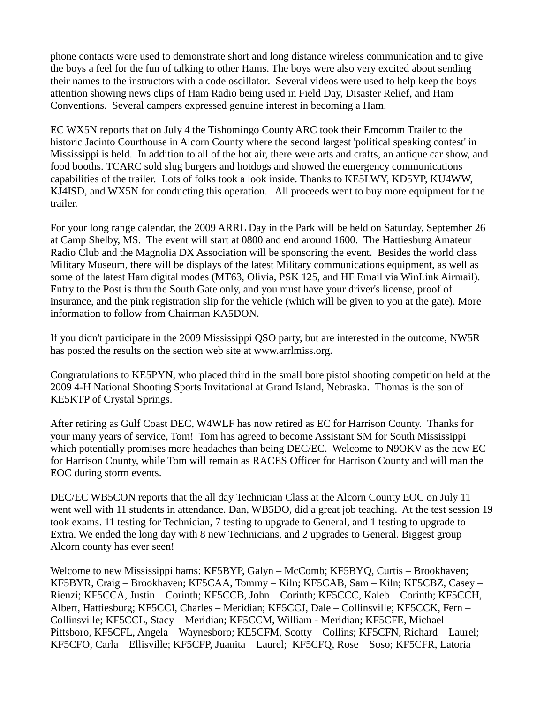phone contacts were used to demonstrate short and long distance wireless communication and to give the boys a feel for the fun of talking to other Hams. The boys were also very excited about sending their names to the instructors with a code oscillator. Several videos were used to help keep the boys attention showing news clips of Ham Radio being used in Field Day, Disaster Relief, and Ham Conventions. Several campers expressed genuine interest in becoming a Ham.

EC WX5N reports that on July 4 the Tishomingo County ARC took their Emcomm Trailer to the historic Jacinto Courthouse in Alcorn County where the second largest 'political speaking contest' in Mississippi is held. In addition to all of the hot air, there were arts and crafts, an antique car show, and food booths. TCARC sold slug burgers and hotdogs and showed the emergency communications capabilities of the trailer. Lots of folks took a look inside. Thanks to KE5LWY, KD5YP, KU4WW, KJ4ISD, and WX5N for conducting this operation. All proceeds went to buy more equipment for the trailer.

For your long range calendar, the 2009 ARRL Day in the Park will be held on Saturday, September 26 at Camp Shelby, MS. The event will start at 0800 and end around 1600. The Hattiesburg Amateur Radio Club and the Magnolia DX Association will be sponsoring the event. Besides the world class Military Museum, there will be displays of the latest Military communications equipment, as well as some of the latest Ham digital modes (MT63, Olivia, PSK 125, and HF Email via WinLink Airmail). Entry to the Post is thru the South Gate only, and you must have your driver's license, proof of insurance, and the pink registration slip for the vehicle (which will be given to you at the gate). More information to follow from Chairman KA5DON.

If you didn't participate in the 2009 Mississippi QSO party, but are interested in the outcome, NW5R has posted the results on the section web site at www.arrlmiss.org.

Congratulations to KE5PYN, who placed third in the small bore pistol shooting competition held at the 2009 4-H National Shooting Sports Invitational at Grand Island, Nebraska. Thomas is the son of KE5KTP of Crystal Springs.

After retiring as Gulf Coast DEC, W4WLF has now retired as EC for Harrison County. Thanks for your many years of service, Tom! Tom has agreed to become Assistant SM for South Mississippi which potentially promises more headaches than being DEC/EC. Welcome to N9OKV as the new EC for Harrison County, while Tom will remain as RACES Officer for Harrison County and will man the EOC during storm events.

DEC/EC WB5CON reports that the all day Technician Class at the Alcorn County EOC on July 11 went well with 11 students in attendance. Dan, WB5DO, did a great job teaching. At the test session 19 took exams. 11 testing for Technician, 7 testing to upgrade to General, and 1 testing to upgrade to Extra. We ended the long day with 8 new Technicians, and 2 upgrades to General. Biggest group Alcorn county has ever seen!

Welcome to new Mississippi hams: KF5BYP, Galyn – McComb; KF5BYQ, Curtis – Brookhaven; KF5BYR, Craig – Brookhaven; KF5CAA, Tommy – Kiln; KF5CAB, Sam – Kiln; KF5CBZ, Casey – Rienzi; KF5CCA, Justin – Corinth; KF5CCB, John – Corinth; KF5CCC, Kaleb – Corinth; KF5CCH, Albert, Hattiesburg; KF5CCI, Charles – Meridian; KF5CCJ, Dale – Collinsville; KF5CCK, Fern – Collinsville; KF5CCL, Stacy – Meridian; KF5CCM, William - Meridian; KF5CFE, Michael – Pittsboro, KF5CFL, Angela – Waynesboro; KE5CFM, Scotty – Collins; KF5CFN, Richard – Laurel; KF5CFO, Carla – Ellisville; KF5CFP, Juanita – Laurel; KF5CFQ, Rose – Soso; KF5CFR, Latoria –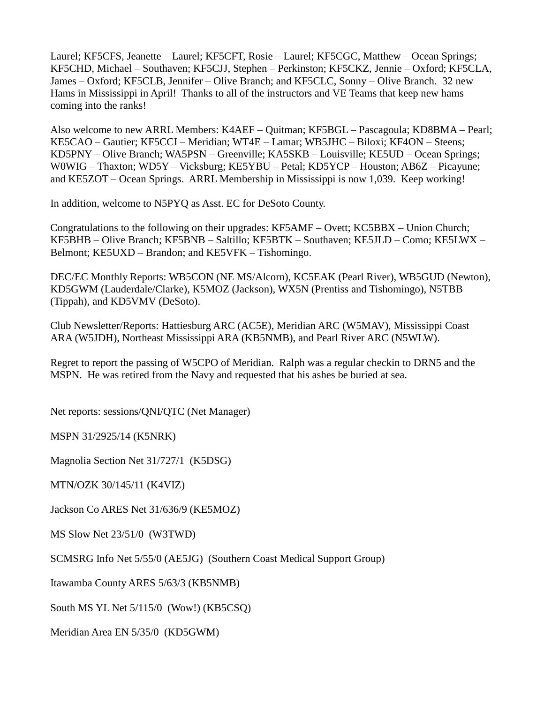Laurel; KF5CFS, Jeanette – Laurel; KF5CFT, Rosie – Laurel; KF5CGC, Matthew – Ocean Springs; KF5CHD, Michael – Southaven; KF5CJJ, Stephen – Perkinston; KF5CKZ, Jennie – Oxford; KF5CLA, James – Oxford; KF5CLB, Jennifer – Olive Branch; and KF5CLC, Sonny – Olive Branch. 32 new Hams in Mississippi in April! Thanks to all of the instructors and VE Teams that keep new hams coming into the ranks!

Also welcome to new ARRL Members: K4AEF – Quitman; KF5BGL – Pascagoula; KD8BMA – Pearl; KE5CAO – Gautier; KF5CCI – Meridian; WT4E – Lamar; WB5JHC – Biloxi; KF4ON – Steens; KD5PNY – Olive Branch; WA5PSN – Greenville; KA5SKB – Louisville; KE5UD – Ocean Springs; W0WIG – Thaxton; WD5Y – Vicksburg; KE5YBU – Petal; KD5YCP – Houston; AB6Z – Picayune; and KE5ZOT – Ocean Springs. ARRL Membership in Mississippi is now 1,039. Keep working!

In addition, welcome to N5PYQ as Asst. EC for DeSoto County.

Congratulations to the following on their upgrades: KF5AMF – Ovett; KC5BBX – Union Church; KF5BHB – Olive Branch; KF5BNB – Saltillo; KF5BTK – Southaven; KE5JLD – Como; KE5LWX – Belmont; KE5UXD – Brandon; and KE5VFK – Tishomingo.

DEC/EC Monthly Reports: WB5CON (NE MS/Alcorn), KC5EAK (Pearl River), WB5GUD (Newton), KD5GWM (Lauderdale/Clarke), K5MOZ (Jackson), WX5N (Prentiss and Tishomingo), N5TBB (Tippah), and KD5VMV (DeSoto).

Club Newsletter/Reports: Hattiesburg ARC (AC5E), Meridian ARC (W5MAV), Mississippi Coast ARA (W5JDH), Northeast Mississippi ARA (KB5NMB), and Pearl River ARC (N5WLW).

Regret to report the passing of W5CPO of Meridian. Ralph was a regular checkin to DRN5 and the MSPN. He was retired from the Navy and requested that his ashes be buried at sea.

Net reports: sessions/QNI/QTC (Net Manager)

MSPN 31/2925/14 (K5NRK)

Magnolia Section Net 31/727/1 (K5DSG)

MTN/OZK 30/145/11 (K4VIZ)

Jackson Co ARES Net 31/636/9 (KE5MOZ)

MS Slow Net 23/51/0 (W3TWD)

SCMSRG Info Net 5/55/0 (AE5JG) (Southern Coast Medical Support Group)

Itawamba County ARES 5/63/3 (KB5NMB)

South MS YL Net 5/115/0 (Wow!) (KB5CSQ)

Meridian Area EN 5/35/0 (KD5GWM)